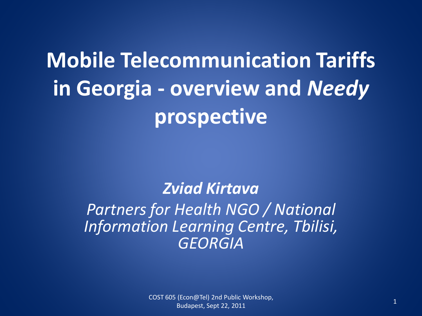# **Mobile Telecommunication Tariffs in Georgia - overview and** *Needy* **prospective**

### *Zviad Kirtava*

### *Partners for Health NGO / National Information Learning Centre, Tbilisi, GEORGIA*

<sup>1</sup> COST 605 (Econ@Tel) 2nd Public Workshop, Budapest, Sept 22, 2011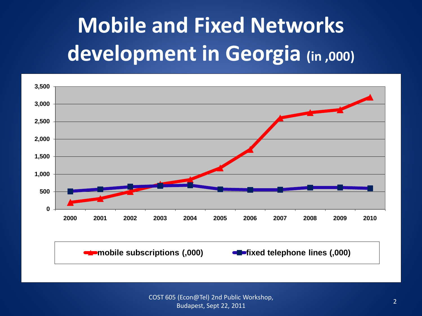# **Mobile and Fixed Networks development in Georgia (in ,000)**

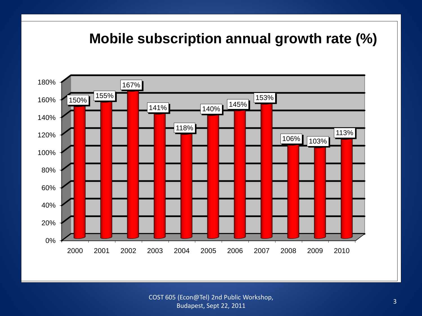### **Mobile subscription annual growth rate (%)**



COST 605 (Econ@Tel) 2nd Public Workshop, Budapest, Sept 22, 2011 3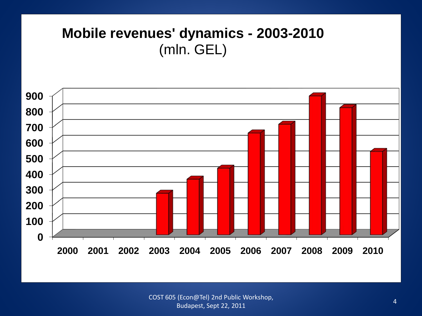### **Mobile revenues' dynamics - 2003-2010** (mln. GEL)



COST 605 (Econ@Tel) 2nd Public Workshop, Rudapest, Sept 22, 2011 **4**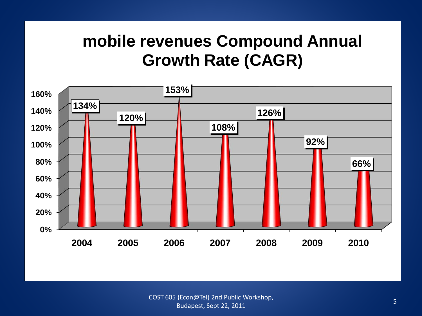## **mobile revenues Compound Annual Growth Rate (CAGR)**

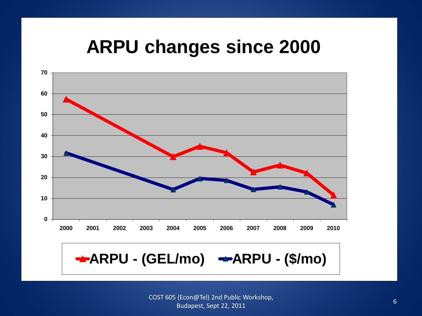## **ARPU changes since 2000**



**ARPU - (GEL/mo) • ARPU - (\$/mo)**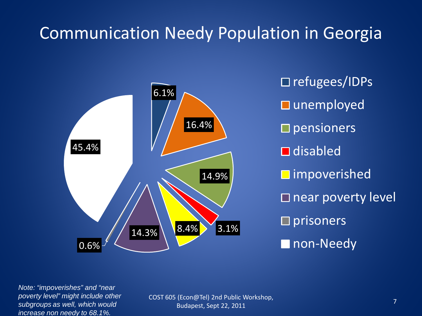## Communication Needy Population in Georgia



□ refugees/IDPs **□** unemployed  $\square$  pensioners **□** disabled **□** impoverished  $\square$  near poverty level  $\square$  prisoners **non-Needy** 

*Note: "impoverishes" and "near poverty level" might include other subgroups as well, which would increase non needy to 68.1%.*

COST 605 (Econ@Tel) 2nd Public Workshop, Budapest, Sept 22, 2011 The Workshop, The Company of the Company of the Company of the Company of the Company of T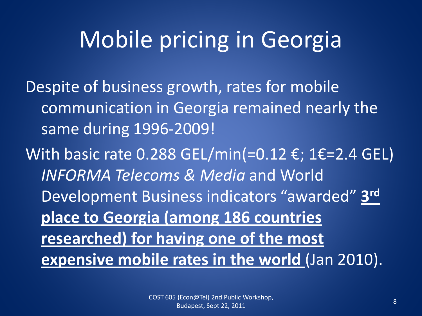# Mobile pricing in Georgia

Despite of business growth, rates for mobile communication in Georgia remained nearly the same during 1996-2009!

With basic rate 0.288 GEL/min(=0.12 €; 1€=2.4 GEL) *INFORMA Telecoms & Media* and World Development Business indicators "awarded" **3rd place to Georgia (among 186 countries researched) for having one of the most <u>expensive mobile rates in the world</u>** (Jan 2010).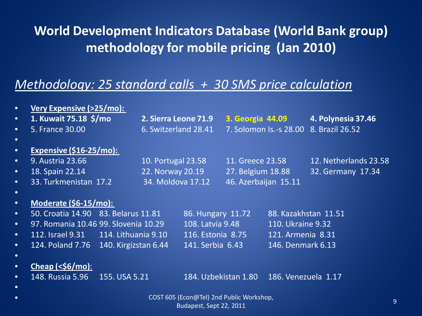### **World Development Indicators Database (World Bank group) methodology for mobile pricing (Jan 2010)**

### *Methodology: 25 standard calls + 30 SMS price calculation*

| $\bullet$ | Very Expensive (>25/mo):                 |               |                      |                   |                        |                      |                       |  |
|-----------|------------------------------------------|---------------|----------------------|-------------------|------------------------|----------------------|-----------------------|--|
| $\bullet$ | 1. Kuwait 75.18 \$/mo                    |               | 2. Sierra Leone 71.9 |                   | 3. Georgia 44.09       |                      | 4. Polynesia 37.46    |  |
| $\bullet$ | 5. France 30.00                          |               | 6. Switzerland 28.41 |                   | 7. Solomon Is.-s 28.00 |                      | 8. Brazil 26.52       |  |
| $\bullet$ |                                          |               |                      |                   |                        |                      |                       |  |
| $\bullet$ | <b>Expensive (\$16-25/mo):</b>           |               |                      |                   |                        |                      |                       |  |
| $\bullet$ | 9. Austria 23.66                         |               | 10. Portugal 23.58   |                   | 11. Greece 23.58       |                      | 12. Netherlands 23.58 |  |
| $\bullet$ | 18. Spain 22.14                          |               | 22. Norway 20.19     |                   | 27. Belgium 18.88      |                      | 32. Germany 17.34     |  |
| $\bullet$ | 33. Turkmenistan 17.2                    |               | 34. Moldova 17.12    |                   | 46. Azerbaijan 15.11   |                      |                       |  |
| $\bullet$ |                                          |               |                      |                   |                        |                      |                       |  |
| $\bullet$ | Moderate (\$6-15/mo):                    |               |                      |                   |                        |                      |                       |  |
| $\bullet$ | 50. Croatia 14.90 83. Belarus 11.81      |               |                      | 86. Hungary 11.72 |                        | 88. Kazakhstan 11.51 |                       |  |
| $\bullet$ | 97. Romania 10.46 99. Slovenia 10.29     |               |                      | 108. Latvia 9.48  |                        | 110. Ukraine 9.32    |                       |  |
| $\bullet$ | 112. Israel 9.31 114. Lithuania 9.10     |               |                      | 116. Estonia 8.75 |                        | 121. Armenia 8.31    |                       |  |
| $\bullet$ | 124. Poland 7.76 140. Kirgizstan 6.44    |               |                      | 141. Serbia 6.43  |                        | 146. Denmark 6.13    |                       |  |
| $\bullet$ |                                          |               |                      |                   |                        |                      |                       |  |
| $\bullet$ | $Cheap (\frac{\mathcal{S}6}{mo}):$       |               |                      |                   |                        |                      |                       |  |
| $\bullet$ | 148. Russia 5.96                         | 155. USA 5.21 |                      |                   | 184. Uzbekistan 1.80   | 186. Venezuela 1.17  |                       |  |
| $\bullet$ |                                          |               |                      |                   |                        |                      |                       |  |
| $\bullet$ | COST 605 (Econ@Tel) 2nd Public Workshop, |               |                      |                   |                        |                      | 9                     |  |
|           | Budapest, Sept 22, 2011                  |               |                      |                   |                        |                      |                       |  |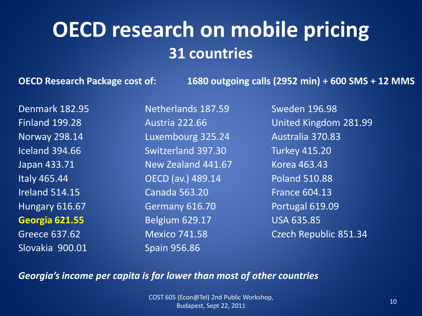## **OECD research on mobile pricing 31 countries**

**OECD Research Package cost of: 1680 outgoing calls (2952 min) + 600 SMS + 12 MMS**

Denmark 182.95 Netherlands 187.59 Sweden 196.98 Slovakia 900.01 Spain 956.86

Norway 298.14 **Luxembourg 325.24** Australia 370.83 Iceland 394.66 Switzerland 397.30 Turkey 415.20 Japan 433.71 New Zealand 441.67 Korea 463.43 Italy 465.44 OECD (av.) 489.14 Poland 510.88 Ireland 514.15 Canada 563.20 France 604.13 Hungary 616.67 Germany 616.70 Portugal 619.09 **Georgia 621.55** Belgium 629.17 USA 635.85

Finland 199.28 Austria 222.66 United Kingdom 281.99 Greece 637.62 Mexico 741.58 Czech Republic 851.34

#### *Georgia's income per capita is far lower than most of other countries*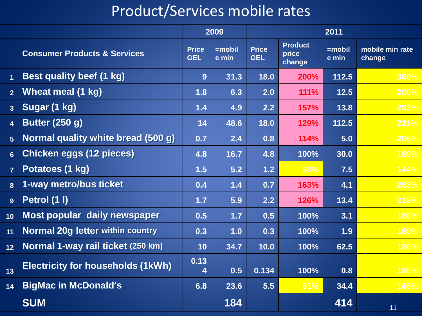## Product/Services mobile rates

|                         |                                          | 2009                       |                    | 2011                       |                                   |                    |                           |
|-------------------------|------------------------------------------|----------------------------|--------------------|----------------------------|-----------------------------------|--------------------|---------------------------|
|                         | <b>Consumer Products &amp; Services</b>  | <b>Price</b><br><b>GEL</b> | $=$ mobil<br>e min | <b>Price</b><br><b>GEL</b> | <b>Product</b><br>price<br>change | $=$ mobil<br>e min | mobile min rate<br>change |
| $\overline{1}$          | <b>Best quality beef (1 kg)</b>          | 9                          | 31.3               | 18.0                       | 200%                              | 112.5              | 360%                      |
| $\overline{2}$          | Wheat meal (1 kg)                        | 1.8                        | 6.3                | 2.0                        | <b>111%</b>                       | $12.5$             | 200%                      |
| $\overline{3}$          | Sugar (1 kg)                             | 1.4                        | 4.9                | 2.2                        | <b>157%</b>                       | 13.8               | 283%                      |
| $\overline{\mathbf{4}}$ | <b>Butter (250 g)</b>                    | 14                         | 48.6               | 18.0                       | 129%                              | 112.5              | 231%                      |
| $5\phantom{.}$          | Normal quality white bread (500 g)       | 0.7                        | 2.4                | 0.8                        | 114%                              | 5.0                | 206%                      |
| $6\phantom{a}$          | <b>Chicken eggs (12 pieces)</b>          | 4.8                        | 16.7               | 4.8                        | 100%                              | 30.0               | 180%                      |
| $\overline{7}$          | Potatoes (1 kg)                          | 1.5                        | 5.2                | $1.2$                      | 80%                               | 7.5                | 144%                      |
| 8                       | 1-way metro/bus ticket                   | 0.4                        | 1.4                | 0.7                        | 163%                              | 4.1                | 293%                      |
| 9                       | Petrol (1 I)                             | 1.7                        | 5.9                | 2.2                        | 126%                              | 13.4               | 228%                      |
| 10                      | Most popular daily newspaper             | 0.5                        | $1.7$              | 0.5                        | 100%                              | 3.1                | 180%                      |
| 11                      | <b>Normal 20g letter within country</b>  | 0.3                        | 1.0                | 0.3                        | 100%                              | 1.9                | 180%                      |
| 12                      | Normal 1-way rail ticket (250 km)        | 10                         | 34.7               | 10.0                       | 100%                              | 62.5               | 180%                      |
| 13                      | <b>Electricity for households (1kWh)</b> | 0.13<br>4                  | 0.5                | 0.134                      | 100%                              | 0.8                | 180%                      |
| 14                      | <b>BigMac in McDonald's</b>              | 6.8                        | 23.6               | 5.5                        | 81%                               | 34.4               | 146%                      |
|                         | <b>SUM</b>                               |                            | 184                |                            |                                   | 414                | 11                        |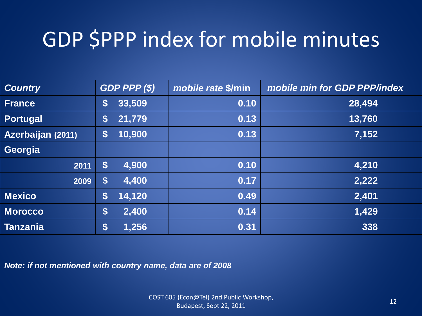## GDP \$PPP index for mobile minutes

| <b>Country</b>    | GDP PPP(S) |        | mobile rate \$/min | mobile min for GDP PPP/index |  |
|-------------------|------------|--------|--------------------|------------------------------|--|
| <b>France</b>     | \$         | 33,509 | 0.10               | 28,494                       |  |
| <b>Portugal</b>   | \$         | 21,779 | 0.13               | 13,760                       |  |
| Azerbaijan (2011) | \$         | 10,900 | 0.13               | 7,152                        |  |
| Georgia           |            |        |                    |                              |  |
| 2011              | \$         | 4,900  | 0.10               | 4,210                        |  |
| 2009              | \$         | 4,400  | 0.17               | 2,222                        |  |
| <b>Mexico</b>     | \$         | 14,120 | 0.49               | 2,401                        |  |
| <b>Morocco</b>    | \$         | 2,400  | 0.14               | 1,429                        |  |
| <b>Tanzania</b>   | \$         | 1,256  | 0.31               | 338                          |  |

*Note: if not mentioned with country name, data are of 2008*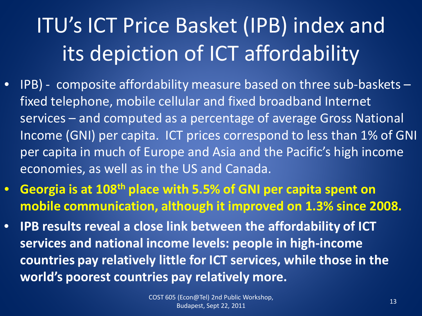# ITU's ICT Price Basket (IPB) index and its depiction of ICT affordability

- IPB) composite affordability measure based on three sub-baskets fixed telephone, mobile cellular and fixed broadband Internet services – and computed as a percentage of average Gross National Income (GNI) per capita. ICT prices correspond to less than 1% of GNI per capita in much of Europe and Asia and the Pacific's high income economies, as well as in the US and Canada.
- **Georgia is at 108th place with 5.5% of GNI per capita spent on mobile communication, although it improved on 1.3% since 2008.**
- **IPB results reveal a close link between the affordability of ICT services and national income levels: people in high-income countries pay relatively little for ICT services, while those in the world's poorest countries pay relatively more.**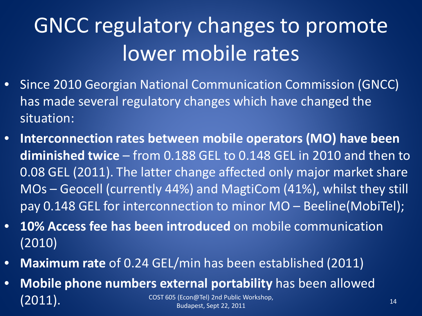# GNCC regulatory changes to promote lower mobile rates

- Since 2010 Georgian National Communication Commission (GNCC) has made several regulatory changes which have changed the situation:
- **Interconnection rates between mobile operators (MO) have been diminished twice** – from 0.188 GEL to 0.148 GEL in 2010 and then to 0.08 GEL (2011). The latter change affected only major market share MOs – Geocell (currently 44%) and MagtiCom (41%), whilst they still pay 0.148 GEL for interconnection to minor MO – Beeline(MobiTel);
- **10% Access fee has been introduced** on mobile communication (2010)
- **Maximum rate** of 0.24 GEL/min has been established (2011)
- **Mobile phone numbers external portability** has been allowed  $(2011).$  COST 605 (Econ@Tel) 2nd Public Workshop, Rudapest, Sept 22, 2011 **14** Budapest, Sept 22, 2011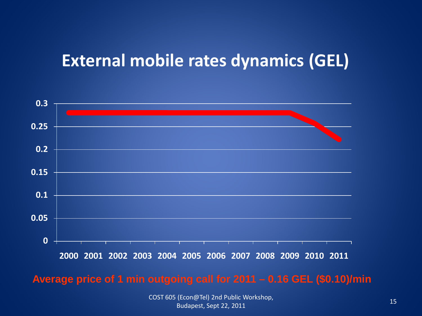## **External mobile rates dynamics (GEL)**



#### **Average price of 1 min outgoing call for 2011 – 0.16 GEL (\$0.10)/min**

COST 605 (Econ@Tel) 2nd Public Workshop, Budapest, Sept 22, 2011 **15 August 22, 2011** 15 **15**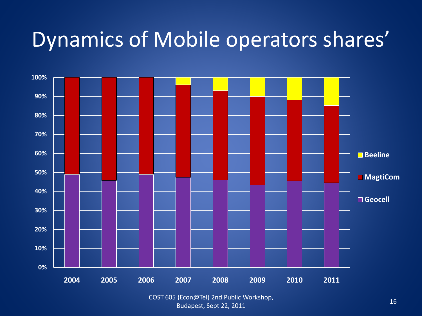## Dynamics of Mobile operators shares'



COST 605 (Econ@Tel) 2nd Public Workshop, Rudapest, Sept 22, 2011 16. Northern Budapest, Sept 22, 2011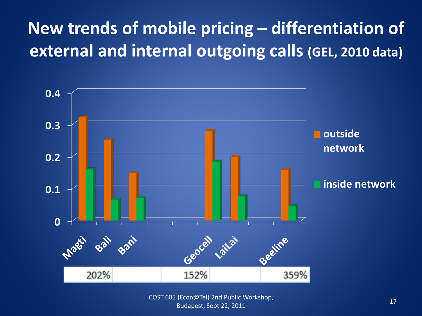## **New trends of mobile pricing – differentiation of external and internal outgoing calls (GEL, 2010 data)**



COST 605 (Econ@Tel) 2nd Public Workshop, Rudapest, Sept 22, 2011 **17**<br>Budapest, Sept 22, 2011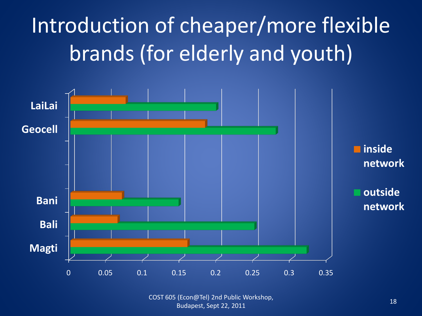# Introduction of cheaper/more flexible brands (for elderly and youth)



COST 605 (Econ@Tel) 2nd Public Workshop, Rudapest, Sept 22, 2011 **18.2018** 18.2019, 18.2019